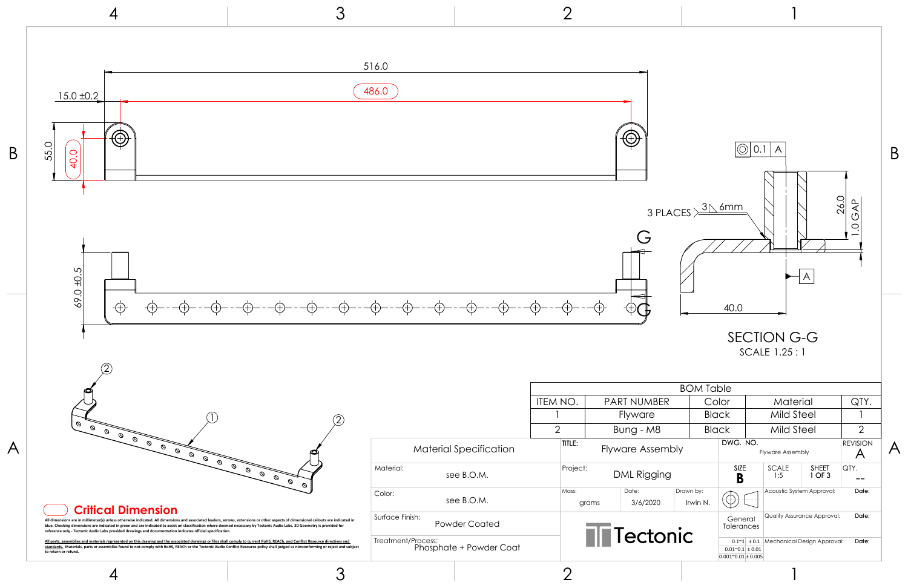4

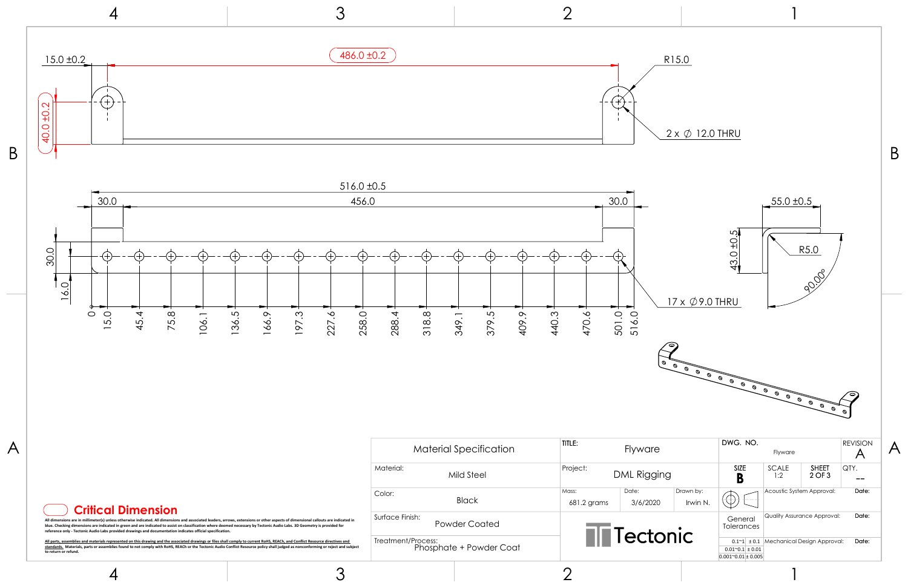$\circ$ 15.0

45.4

75.8

106.1

136.5

166.9

197.3

227.6



R15.0

## $2 \times \emptyset$  12.0 THRU

4

3

2

1

1

All dimensions are in millimeter(s) unless otherwise indicated. All dimensions and associated leaders, arrows, extensions or other aspects of dimensional callouts are indicated in<br>blue. Checking dimensions are indicated in **reference only - Tectonic Audio Labs provided drawings and documentation indicates official specification.**

<u>All parts, assemblies and materials represented on this drawing and the associated drawings or files shall comply to current RoHS. REACh, and Conflict Resource directives and<br><u>standards.</u> Materials, parts or assemblies fo</u>



ם<br>|16.0